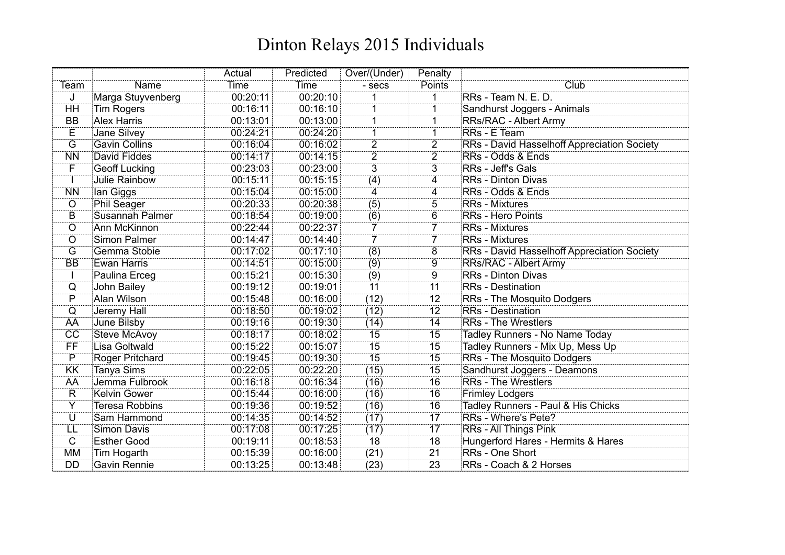|                         |                        | Actual   | Predicted | Over/(Under)    | Penalty         |                                             |
|-------------------------|------------------------|----------|-----------|-----------------|-----------------|---------------------------------------------|
| Team                    | Name                   | Time     | Time      | - secs          | Points          | Club                                        |
| J                       | Marga Stuyvenberg      | 00:20:11 | 00:20:10  |                 |                 | RRs - Team N. E. D.                         |
| HH                      | <b>Tim Rogers</b>      | 00:16:11 | 00:16:10  |                 |                 | Sandhurst Joggers - Animals                 |
| <b>BB</b>               | <b>Alex Harris</b>     | 00:13:01 | 00:13:00  |                 |                 | <b>RRs/RAC - Albert Army</b>                |
| Е                       | Jane Silvey            | 00:24:21 | 00:24:20  |                 |                 | RRs - E Team                                |
| $\overline{G}$          | <b>Gavin Collins</b>   | 00:16:04 | 00:16:02  | $\overline{2}$  | $\overline{2}$  | RRs - David Hasselhoff Appreciation Society |
| <b>NN</b>               | David Fiddes           | 00:14:17 | 00:14:15  | $\overline{2}$  | $\overline{2}$  | RRs - Odds & Ends                           |
| F                       | <b>Geoff Lucking</b>   | 00:23:03 | 00:23:00  | $\overline{3}$  | $\overline{3}$  | <b>RRs</b> - Jeff's Gals                    |
|                         | Julie Rainbow          | 00:15:11 | 00:15:15  | (4)             | 4               | <b>RRs</b> - Dinton Divas                   |
| <b>NN</b>               | lan Giggs              | 00:15:04 | 00:15:00  | 4               | 4               | RRs - Odds & Ends                           |
| $\overline{O}$          | <b>Phil Seager</b>     | 00:20:33 | 00:20:38  | (5)             | 5               | <b>RRs</b> - Mixtures                       |
| $\overline{B}$          | <b>Susannah Palmer</b> | 00:18:54 | 00:19:00  | (6)             | $\overline{6}$  | <b>RRs - Hero Points</b>                    |
| $\overline{O}$          | Ann McKinnon           | 00:22:44 | 00:22:37  | 7               |                 | <b>RRs</b> - Mixtures                       |
| $\circ$                 | <b>Simon Palmer</b>    | 00:14:47 | 00:14:40  | $\overline{7}$  | $\overline{7}$  | <b>RRs</b> - Mixtures                       |
| G                       | Gemma Stobie           | 00:17:02 | 00:17:10  | (8)             | 8               | RRs - David Hasselhoff Appreciation Society |
| <b>BB</b>               | <b>Ewan Harris</b>     | 00:14:51 | 00:15:00  | (9)             | 9               | <b>RRs/RAC - Albert Army</b>                |
| H                       | Paulina Erceg          | 00:15:21 | 00:15:30  | (9)             | $\overline{9}$  | <b>RRs</b> - Dinton Divas                   |
| $\mathsf Q$             | John Bailey            | 00:19:12 | 00:19:01  | 11              | 11              | <b>RRs</b> - Destination                    |
| $\overline{P}$          | Alan Wilson            | 00:15:48 | 00:16:00  | (12)            | $\overline{12}$ | RRs - The Mosquito Dodgers                  |
| $\overline{Q}$          | Jeremy Hall            | 00:18:50 | 00:19:02  | (12)            | 12              | <b>RRs</b> - Destination                    |
| AA                      | June Bilsby            | 00:19:16 | 00:19:30  | (14)            | 14              | <b>RRs</b> - The Wrestlers                  |
| $\overline{cc}$         | <b>Steve McAvoy</b>    | 00:18:17 | 00:18:02  | 15              | 15              | Tadley Runners - No Name Today              |
| ΪË                      | Lisa Goltwald          | 00:15:22 | 00:15:07  | $\overline{15}$ | $\overline{15}$ | Tadley Runners - Mix Up, Mess Up            |
| $\overline{P}$          | <b>Roger Pritchard</b> | 00:19:45 | 00:19:30  | $\overline{15}$ | 15              | <b>RRs</b> - The Mosquito Dodgers           |
| <b>KK</b>               | Tanya Sims             | 00:22:05 | 00:22:20  | (15)            | 15              | Sandhurst Joggers - Deamons                 |
| AA                      | Jemma Fulbrook         | 00:16:18 | 00:16:34  | (16)            | 16              | <b>RRs</b> - The Wrestlers                  |
| $\overline{\mathsf{R}}$ | <b>Kelvin Gower</b>    | 00:15:44 | 00:16:00  | (16)            | 16              | <b>Frimley Lodgers</b>                      |
| $\overline{Y}$          | <b>Teresa Robbins</b>  | 00:19:36 | 00:19:52  | (16)            | 16              | Tadley Runners - Paul & His Chicks          |
| ΰ                       | Sam Hammond            | 00:14:35 | 00:14:52  | (17)            | $\overline{17}$ | RRs - Where's Pete?                         |
| LL                      | <b>Simon Davis</b>     | 00:17:08 | 00:17:25  | (17)            | 17              | RRs - All Things Pink                       |
| C                       | <b>Esther Good</b>     | 00:19:11 | 00:18:53  | 18              | 18              | Hungerford Hares - Hermits & Hares          |
| <b>MM</b>               | Tim Hogarth            | 00:15:39 | 00:16:00  | (21)            | 21              | RRs - One Short                             |
| <b>DD</b>               | <b>Gavin Rennie</b>    | 00:13:25 | 00:13:48  | (23)            | $\overline{23}$ | RRs - Coach & 2 Horses                      |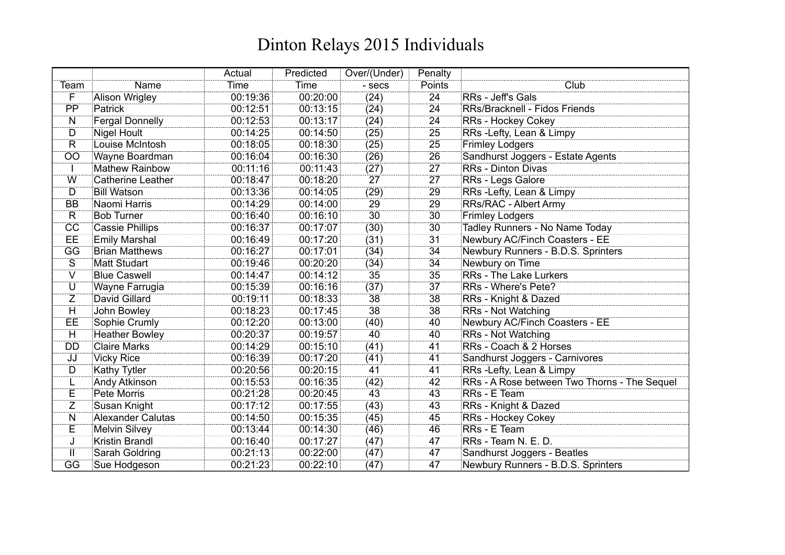|                         |                          | Actual   | Predicted | Over/(Under)    | Penalty         |                                              |
|-------------------------|--------------------------|----------|-----------|-----------------|-----------------|----------------------------------------------|
| Team                    | Name                     | Time     | Time      | - secs          | Points          | Club                                         |
| Ë                       | <b>Alison Wrigley</b>    | 00:19:36 | 00:20:00  | (24)            | $\overline{24}$ | RRs - Jeff's Gals                            |
| PP                      | Patrick                  | 00:12:51 | 00:13:15  | (24)            | 24              | RRs/Bracknell - Fidos Friends                |
| N                       | <b>Fergal Donnelly</b>   | 00:12:53 | 00:13:17  | (24)            | 24              | <b>RRs - Hockey Cokey</b>                    |
| D                       | <b>Nigel Hoult</b>       | 00:14:25 | 00:14:50  | (25)            | 25              | RRs -Lefty, Lean & Limpy                     |
| $\overline{\mathsf{R}}$ | Louise McIntosh          | 00:18:05 | 00:18:30  | (25)            | 25              | <b>Frimley Lodgers</b>                       |
| $\overline{OO}$         | Wayne Boardman           | 00:16:04 | 00:16:30  | (26)            | 26              | Sandhurst Joggers - Estate Agents            |
|                         | <b>Mathew Rainbow</b>    | 00:11:16 | 00:11:43  | (27)            | 27              | <b>RRs</b> - Dinton Divas                    |
| Ŵ                       | <b>Catherine Leather</b> | 00:18:47 | 00:18:20  | 27              | $\overline{27}$ | RRs - Legs Galore                            |
| D                       | <b>Bill Watson</b>       | 00:13:36 | 00:14:05  | (29)            | 29              | RRs - Lefty, Lean & Limpy                    |
| <b>BB</b>               | Naomi Harris             | 00:14:29 | 00:14:00  | 29              | 29              | <b>RRs/RAC - Albert Army</b>                 |
| $\overline{\mathsf{R}}$ | <b>Bob Turner</b>        | 00:16:40 | 00:16:10  | 30              | 30 <sup>2</sup> | <b>Frimley Lodgers</b>                       |
| $\overline{CC}$         | <b>Cassie Phillips</b>   | 00:16:37 | 00:17:07  | (30)            | 30              | Tadley Runners - No Name Today               |
| EE                      | <b>Emily Marshal</b>     | 00:16:49 | 00:17:20  | (31)            | 31              | Newbury AC/Finch Coasters - EE               |
| $\overline{GG}$         | <b>Brian Matthews</b>    | 00:16:27 | 00:17:01  | (34)            | 34              | Newbury Runners - B.D.S. Sprinters           |
| S                       | <b>Matt Studart</b>      | 00:19:46 | 00:20:20  | (34)            | 34              | Newbury on Time                              |
| Ŵ                       | <b>Blue Caswell</b>      | 00:14:47 | 00:14:12  | 35              | 35              | <b>RRs</b> - The Lake Lurkers                |
| U                       | Wayne Farrugia           | 00:15:39 | 00:16:16  | (37)            | 37              | RRs - Where's Pete?                          |
| $\overline{Z}$          | <b>David Gillard</b>     | 00:19:11 | 00:18:33  | 38              | 38              | RRs - Knight & Dazed                         |
| $\overline{\mathsf{H}}$ | John Bowley              | 00:18:23 | 00:17:45  | $\overline{38}$ | 38              | <b>RRs</b> - Not Watching                    |
| <b>EE</b>               | Sophie Crumly            | 00:12:20 | 00:13:00  | (40)            | 40              | Newbury AC/Finch Coasters - EE               |
| H                       | <b>Heather Bowley</b>    | 00:20:37 | 00:19:57  | 40              | 40              | <b>RRs - Not Watching</b>                    |
| <b>DD</b>               | <b>Claire Marks</b>      | 00:14:29 | 00:15:10  | (41)            | 41              | RRs - Coach & 2 Horses                       |
| JJ                      | <b>Vicky Rice</b>        | 00:16:39 | 00:17:20  | (41)            | 41              | Sandhurst Joggers - Carnivores               |
| D                       | Kathy Tytler             | 00:20:56 | 00:20:15  | 41              | 41              | RRs - Lefty, Lean & Limpy                    |
| L                       | Andy Atkinson            | 00:15:53 | 00:16:35  | (42)            | 42              | RRs - A Rose between Two Thorns - The Sequel |
| Ë                       | <b>Pete Morris</b>       | 00:21:28 | 00:20:45  | 43              | 43              | RRs - E Team                                 |
| $\overline{Z}$          | Susan Knight             | 00:17:12 | 00:17:55  | (43)            | 43              | RRs - Knight & Dazed                         |
| $\overline{\mathsf{N}}$ | <b>Alexander Calutas</b> | 00:14:50 | 00:15:35  | (45)            | 45              | RRs - Hockey Cokey                           |
| Е                       | <b>Melvin Silvey</b>     | 00:13:44 | 00:14:30  | (46)            | 46              | RRs - E Team                                 |
| J                       | Kristin Brandl           | 00:16:40 | 00:17:27  | (47)            | 47              | RRs - Team N. E. D.                          |
| Ш                       | Sarah Goldring           | 00:21:13 | 00:22:00  | (47)            | 47              | Sandhurst Joggers - Beatles                  |
| GG                      | Sue Hodgeson             | 00:21:23 | 00:22:10  | (47)            | 47              | Newbury Runners - B.D.S. Sprinters           |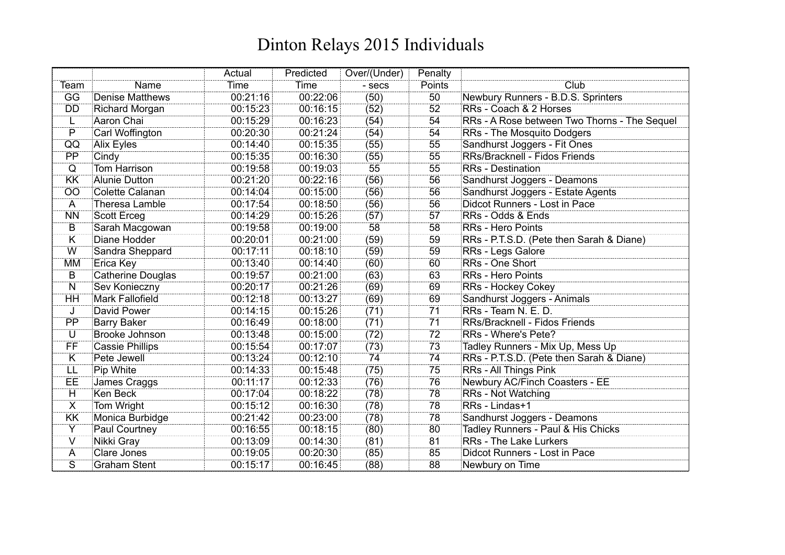|                         |                          | Actual   | Predicted | Over/(Under) | Penalty |                                              |
|-------------------------|--------------------------|----------|-----------|--------------|---------|----------------------------------------------|
| Team                    | Name                     | Time     | Time      | - secs       | Points  | Club                                         |
| GG                      | <b>Denise Matthews</b>   | 00:21:16 | 00:22:06  | (50)         | 50      | Newbury Runners - B.D.S. Sprinters           |
| DD                      | <b>Richard Morgan</b>    | 00:15:23 | 00:16:15  | (52)         | 52      | RRs - Coach & 2 Horses                       |
| L                       | <b>Aaron Chai</b>        | 00:15:29 | 00:16:23  | (54)         | 54      | RRs - A Rose between Two Thorns - The Sequel |
| P                       | Carl Woffington          | 00:20:30 | 00:21:24  | (54)         | 54      | RRs - The Mosquito Dodgers                   |
| QQ                      | Alix Eyles               | 00:14:40 | 00:15:35  | (55)         | 55      | Sandhurst Joggers - Fit Ones                 |
| $\overline{PP}$         | Cindy                    | 00:15:35 | 00:16:30  | (55)         | 55      | RRs/Bracknell - Fidos Friends                |
| $\overline{Q}$          | <b>Tom Harrison</b>      | 00:19:58 | 00:19:03  | 55           | 55      | <b>RRs</b> - Destination                     |
| KK                      | <b>Alunie Dutton</b>     | 00:21:20 | 00:22:16  | (56)         | 56      | Sandhurst Joggers - Deamons                  |
| OO                      | Colette Calanan          | 00:14:04 | 00:15:00  | (56)         | 56      | Sandhurst Joggers - Estate Agents            |
| A                       | Theresa Lamble           | 00:17:54 | 00:18:50  | (56)         | 56      | Didcot Runners - Lost in Pace                |
| <b>NN</b>               | <b>Scott Erceg</b>       | 00:14:29 | 00:15:26  | (57)         | 57      | RRs - Odds & Ends                            |
| B                       | Sarah Macgowan           | 00:19:58 | 00:19:00  | 58           | 58      | <b>RRs - Hero Points</b>                     |
| $\overline{\mathsf{K}}$ | Diane Hodder             | 00:20:01 | 00:21:00  | (59)         | 59      | RRs - P.T.S.D. (Pete then Sarah & Diane)     |
| W                       | Sandra Sheppard          | 00:17:11 | 00:18:10  | (59)         | 59      | RRs - Legs Galore                            |
| <b>MM</b>               | Erica Key                | 00:13:40 | 00:14:40  | (60)         | 60      | RRs - One Short                              |
| $\overline{B}$          | <b>Catherine Douglas</b> | 00:19:57 | 00:21:00  | (63)         | 63      | <b>RRs - Hero Points</b>                     |
| N                       | Sev Konieczny            | 00:20:17 | 00:21:26  | (69)         | 69      | <b>RRs - Hockey Cokey</b>                    |
| ΉĤ                      | <b>Mark Fallofield</b>   | 00:12:18 | 00:13:27  | (69)         | 69      | Sandhurst Joggers - Animals                  |
| J                       | David Power              | 00:14:15 | 00:15:26  | (71)         | 71      | RRs - Team N. E. D.                          |
| $\overline{PP}$         | <b>Barry Baker</b>       | 00:16:49 | 00:18:00  | (71)         | 71      | RRs/Bracknell - Fidos Friends                |
| U                       | Brooke Johnson           | 00:13:48 | 00:15:00  | (72)         | 72      | RRs - Where's Pete?                          |
| ΪË                      | <b>Cassie Phillips</b>   | 00:15:54 | 00:17:07  | (73)         | 73      | Tadley Runners - Mix Up, Mess Up             |
| K                       | Pete Jewell              | 00:13:24 | 00:12:10  | 74           | 74      | RRs - P.T.S.D. (Pete then Sarah & Diane)     |
| LL                      | Pip White                | 00:14:33 | 00:15:48  | (75)         | 75      | RRs - All Things Pink                        |
| EE                      | James Craggs             | 00:11:17 | 00:12:33  | (76)         | 76      | Newbury AC/Finch Coasters - EE               |
| $\overline{H}$          | <b>Ken Beck</b>          | 00:17:04 | 00:18:22  | (78)         | 78      | RRs - Not Watching                           |
| $\overline{\mathsf{X}}$ | Tom Wright               | 00:15:12 | 00:16:30  | (78)         | 78      | RRs - Lindas+1                               |
| KK                      | Monica Burbidge          | 00:21:42 | 00:23:00  | (78)         | 78      | Sandhurst Joggers - Deamons                  |
| Y                       | Paul Courtney            | 00:16:55 | 00:18:15  | (80)         | 80      | Tadley Runners - Paul & His Chicks           |
| $\vee$                  | Nikki Gray               | 00:13:09 | 00:14:30  | (81)         | 81      | <b>RRs</b> - The Lake Lurkers                |
| A                       | <b>Clare Jones</b>       | 00:19:05 | 00:20:30  | (85)         | 85      | Didcot Runners - Lost in Pace                |
| $\overline{\mathsf{S}}$ | <b>Graham Stent</b>      | 00:15:17 | 00:16:45  | (88)         | 88      | Newbury on Time                              |